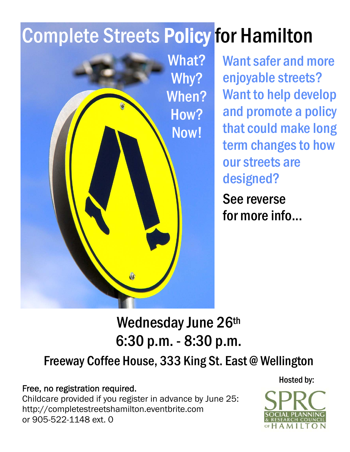# Complete Streets Policy for Hamilton



Want safer and more enjoyable streets? Want to help develop and promote a policy that could make long term changes to how our streets are designed?

See reverse for more info...

Wednesday June 26th 6:30 p.m. - 8:30 p.m.

### Freeway Coffee House, 333 King St. East @ Wellington

Free, no registration required.

Childcare provided if you register in advance by June 25: http://completestreetshamilton.eventbrite.com or 905-522-1148 ext. 0



Hosted by: